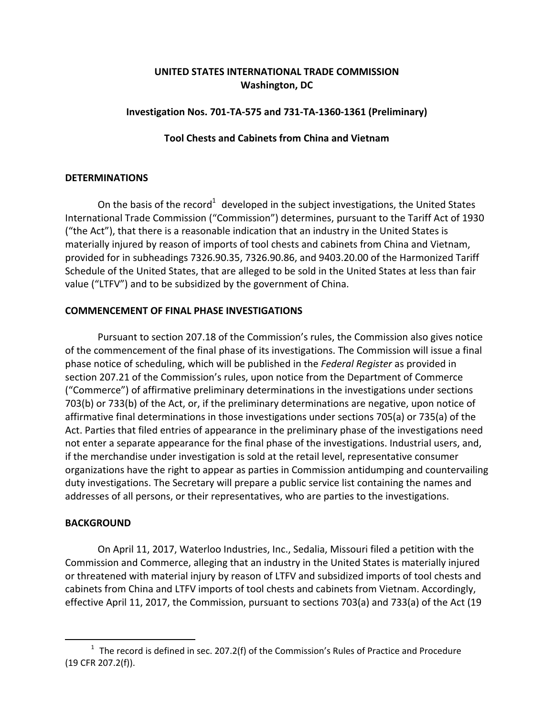# **UNITED STATES INTERNATIONAL TRADE COMMISSION Washington, DC**

# **Investigation Nos. 701‐TA‐575 and 731‐TA‐1360‐1361 (Preliminary)**

# **Tool Chests and Cabinets from China and Vietnam**

#### **DETERMINATIONS**

On the basis of the record<sup>1</sup> developed in the subject investigations, the United States International Trade Commission ("Commission") determines, pursuant to the Tariff Act of 1930 ("the Act"), that there is a reasonable indication that an industry in the United States is materially injured by reason of imports of tool chests and cabinets from China and Vietnam, provided for in subheadings 7326.90.35, 7326.90.86, and 9403.20.00 of the Harmonized Tariff Schedule of the United States, that are alleged to be sold in the United States at less than fair value ("LTFV") and to be subsidized by the government of China.

# **COMMENCEMENT OF FINAL PHASE INVESTIGATIONS**

Pursuant to section 207.18 of the Commission's rules, the Commission also gives notice of the commencement of the final phase of its investigations. The Commission will issue a final phase notice of scheduling, which will be published in the *Federal Register* as provided in section 207.21 of the Commission's rules, upon notice from the Department of Commerce ("Commerce") of affirmative preliminary determinations in the investigations under sections 703(b) or 733(b) of the Act, or, if the preliminary determinations are negative, upon notice of affirmative final determinations in those investigations under sections 705(a) or 735(a) of the Act. Parties that filed entries of appearance in the preliminary phase of the investigations need not enter a separate appearance for the final phase of the investigations. Industrial users, and, if the merchandise under investigation is sold at the retail level, representative consumer organizations have the right to appear as parties in Commission antidumping and countervailing duty investigations. The Secretary will prepare a public service list containing the names and addresses of all persons, or their representatives, who are parties to the investigations.

# **BACKGROUND**

 $\overline{a}$ 

On April 11, 2017, Waterloo Industries, Inc., Sedalia, Missouri filed a petition with the Commission and Commerce, alleging that an industry in the United States is materially injured or threatened with material injury by reason of LTFV and subsidized imports of tool chests and cabinets from China and LTFV imports of tool chests and cabinets from Vietnam. Accordingly, effective April 11, 2017, the Commission, pursuant to sections 703(a) and 733(a) of the Act (19

 $1$  The record is defined in sec. 207.2(f) of the Commission's Rules of Practice and Procedure (19 CFR 207.2(f)).